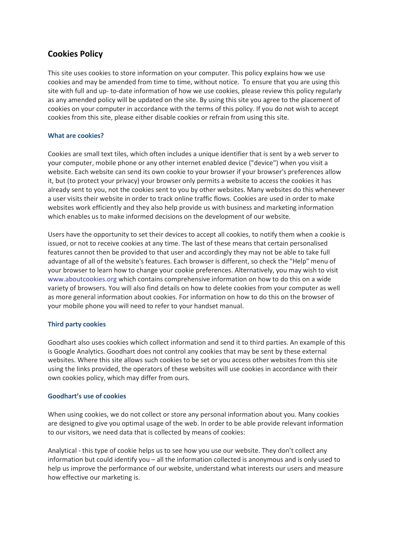## **Cookies Policy**

This site uses cookies to store information on your computer. This policy explains how we use cookies and may be amended from time to time, without notice. To ensure that you are using this site with full and up- to-date information of how we use cookies, please review this policy regularly as any amended policy will be updated on the site. By using this site you agree to the placement of cookies on your computer in accordance with the terms of this policy. If you do not wish to accept cookies from this site, please either disable cookies or refrain from using this site.

## **What are cookies?**

Cookies are small text tiles, which often includes a unique identifier that is sent by a web server to your computer, mobile phone or any other internet enabled device ("device") when you visit a website. Each website can send its own cookie to your browser if your browser's preferences allow it, but (to protect your privacy) your browser only permits a website to access the cookies it has already sent to you, not the cookies sent to you by other websites. Many websites do this whenever a user visits their website in order to track online traffic flows. Cookies are used in order to make websites work efficiently and they also help provide us with business and marketing information which enables us to make informed decisions on the development of our website.

Users have the opportunity to set their devices to accept all cookies, to notify them when a cookie is issued, or not to receive cookies at any time. The last of these means that certain personalised features cannot then be provided to that user and accordingly they may not be able to take full advantage of all of the website's features. Each browser is different, so check the "Help" menu of your browser to learn how to change your cookie preferences. Alternatively, you may wish to visit www.aboutcookies.org which contains comprehensive information on how to do this on a wide variety of browsers. You will also find details on how to delete cookies from your computer as well as more general information about cookies. For information on how to do this on the browser of your mobile phone you will need to refer to your handset manual.

## **Third party cookies**

Goodhart also uses cookies which collect information and send it to third parties. An example of this is Google Analytics. Goodhart does not control any cookies that may be sent by these external websites. Where this site allows such cookies to be set or you access other websites from this site using the links provided, the operators of these websites will use cookies in accordance with their own cookies policy, which may differ from ours.

## **Goodhart's use of cookies**

When using cookies, we do not collect or store any personal information about you. Many cookies are designed to give you optimal usage of the web. In order to be able provide relevant information to our visitors, we need data that is collected by means of cookies:

Analytical - this type of cookie helps us to see how you use our website. They don't collect any information but could identify you – all the information collected is anonymous and is only used to help us improve the performance of our website, understand what interests our users and measure how effective our marketing is.